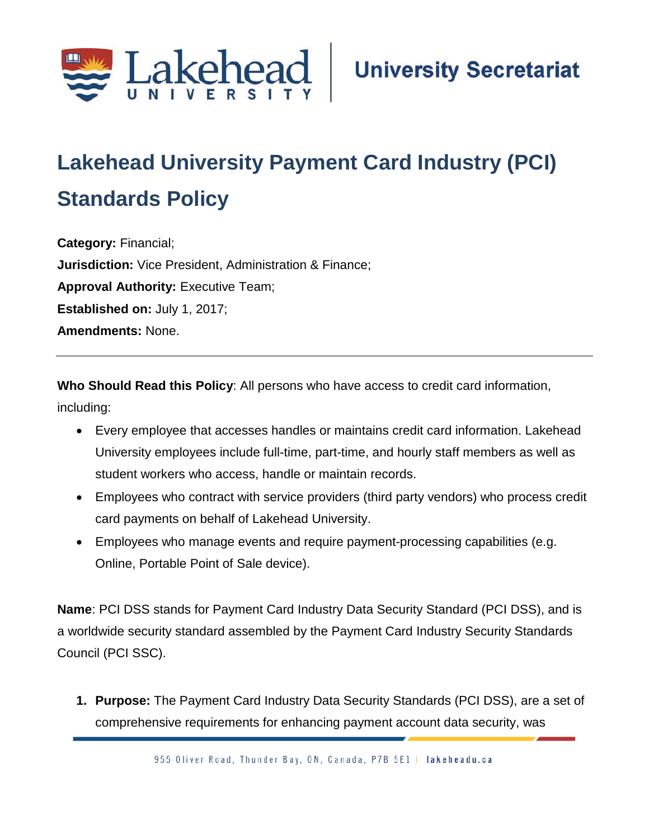

# **Lakehead University Payment Card Industry (PCI) Standards Policy**

**Category:** Financial; **Jurisdiction:** Vice President, Administration & Finance; **Approval Authority:** Executive Team; **Established on:** July 1, 2017; **Amendments:** None.

**Who Should Read this Policy**: All persons who have access to credit card information, including:

- Every employee that accesses handles or maintains credit card information. Lakehead University employees include full-time, part-time, and hourly staff members as well as student workers who access, handle or maintain records.
- Employees who contract with service providers (third party vendors) who process credit card payments on behalf of Lakehead University.
- Employees who manage events and require payment-processing capabilities (e.g. Online, Portable Point of Sale device).

**Name**: PCI DSS stands for Payment Card Industry Data Security Standard (PCI DSS), and is a worldwide security standard assembled by the Payment Card Industry Security Standards Council (PCI SSC).

**1. Purpose:** The Payment Card Industry Data Security Standards (PCI DSS), are a set of comprehensive requirements for enhancing payment account data security, was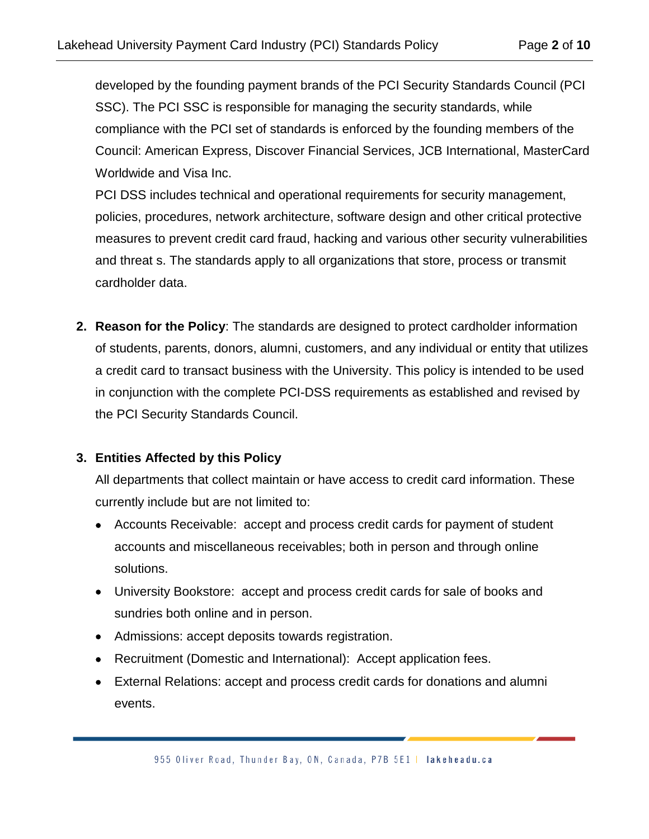developed by the founding payment brands of the PCI Security Standards Council (PCI SSC). The PCI SSC is responsible for managing the security standards, while compliance with the PCI set of standards is enforced by the founding members of the Council: American Express, Discover Financial Services, JCB International, MasterCard Worldwide and Visa Inc.

PCI DSS includes technical and operational requirements for security management, policies, procedures, network architecture, software design and other critical protective measures to prevent credit card fraud, hacking and various other security vulnerabilities and threat s. The standards apply to all organizations that store, process or transmit cardholder data.

**2. Reason for the Policy**: The standards are designed to protect cardholder information of students, parents, donors, alumni, customers, and any individual or entity that utilizes a credit card to transact business with the University. This policy is intended to be used in conjunction with the complete PCI-DSS requirements as established and revised by the PCI Security Standards Council.

## **3. Entities Affected by this Policy**

All departments that collect maintain or have access to credit card information. These currently include but are not limited to:

- Accounts Receivable: accept and process credit cards for payment of student accounts and miscellaneous receivables; both in person and through online solutions.
- University Bookstore: accept and process credit cards for sale of books and sundries both online and in person.
- Admissions: accept deposits towards registration.
- Recruitment (Domestic and International): Accept application fees.
- External Relations: accept and process credit cards for donations and alumni events.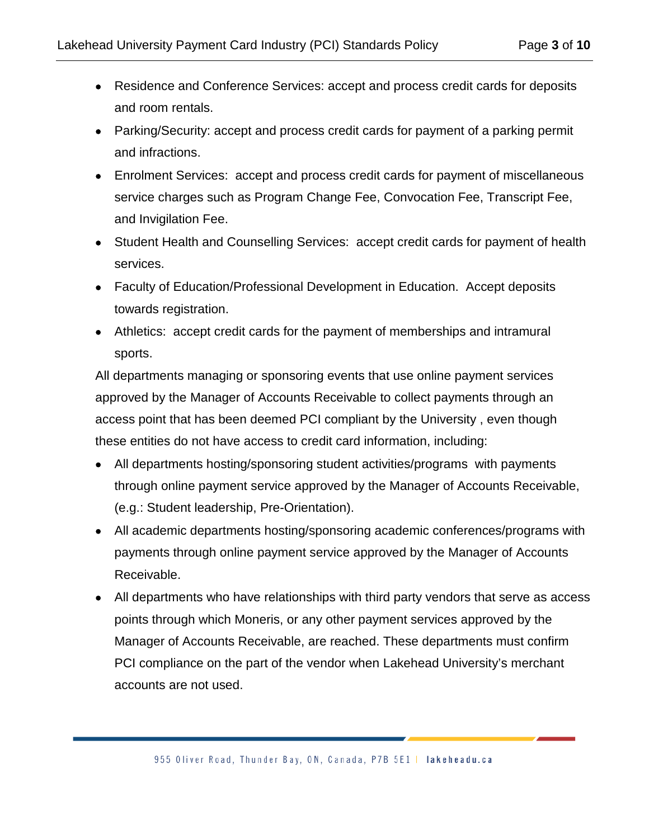- Residence and Conference Services: accept and process credit cards for deposits and room rentals.
- Parking/Security: accept and process credit cards for payment of a parking permit and infractions.
- Enrolment Services: accept and process credit cards for payment of miscellaneous service charges such as Program Change Fee, Convocation Fee, Transcript Fee, and Invigilation Fee.
- Student Health and Counselling Services: accept credit cards for payment of health services.
- Faculty of Education/Professional Development in Education. Accept deposits towards registration.
- Athletics: accept credit cards for the payment of memberships and intramural sports.

All departments managing or sponsoring events that use online payment services approved by the Manager of Accounts Receivable to collect payments through an access point that has been deemed PCI compliant by the University , even though these entities do not have access to credit card information, including:

- All departments hosting/sponsoring student activities/programs with payments through online payment service approved by the Manager of Accounts Receivable, (e.g.: Student leadership, Pre-Orientation).
- All academic departments hosting/sponsoring academic conferences/programs with payments through online payment service approved by the Manager of Accounts Receivable.
- All departments who have relationships with third party vendors that serve as access points through which Moneris, or any other payment services approved by the Manager of Accounts Receivable, are reached. These departments must confirm PCI compliance on the part of the vendor when Lakehead University's merchant accounts are not used.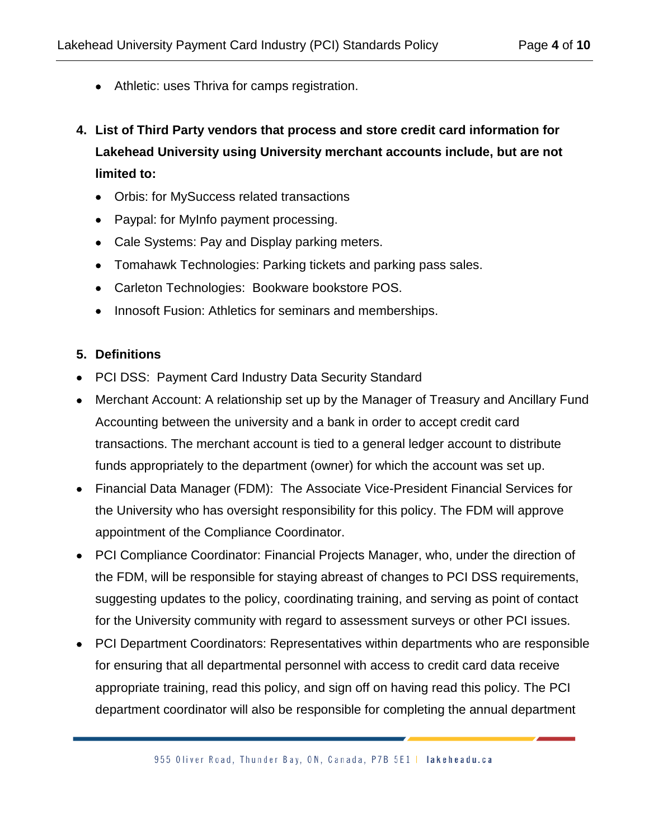- Athletic: uses Thriva for camps registration.
- **4. List of Third Party vendors that process and store credit card information for Lakehead University using University merchant accounts include, but are not limited to:**
	- Orbis: for MySuccess related transactions
	- Paypal: for MyInfo payment processing.
	- Cale Systems: Pay and Display parking meters.
	- Tomahawk Technologies: Parking tickets and parking pass sales.
	- Carleton Technologies: Bookware bookstore POS.
	- Innosoft Fusion: Athletics for seminars and memberships.

## **5. Definitions**

- PCI DSS: Payment Card Industry Data Security Standard
- Merchant Account: A relationship set up by the Manager of Treasury and Ancillary Fund Accounting between the university and a bank in order to accept credit card transactions. The merchant account is tied to a general ledger account to distribute funds appropriately to the department (owner) for which the account was set up.
- Financial Data Manager (FDM): The Associate Vice-President Financial Services for the University who has oversight responsibility for this policy. The FDM will approve appointment of the Compliance Coordinator.
- PCI Compliance Coordinator: Financial Projects Manager, who, under the direction of the FDM, will be responsible for staying abreast of changes to PCI DSS requirements, suggesting updates to the policy, coordinating training, and serving as point of contact for the University community with regard to assessment surveys or other PCI issues.
- PCI Department Coordinators: Representatives within departments who are responsible for ensuring that all departmental personnel with access to credit card data receive appropriate training, read this policy, and sign off on having read this policy. The PCI department coordinator will also be responsible for completing the annual department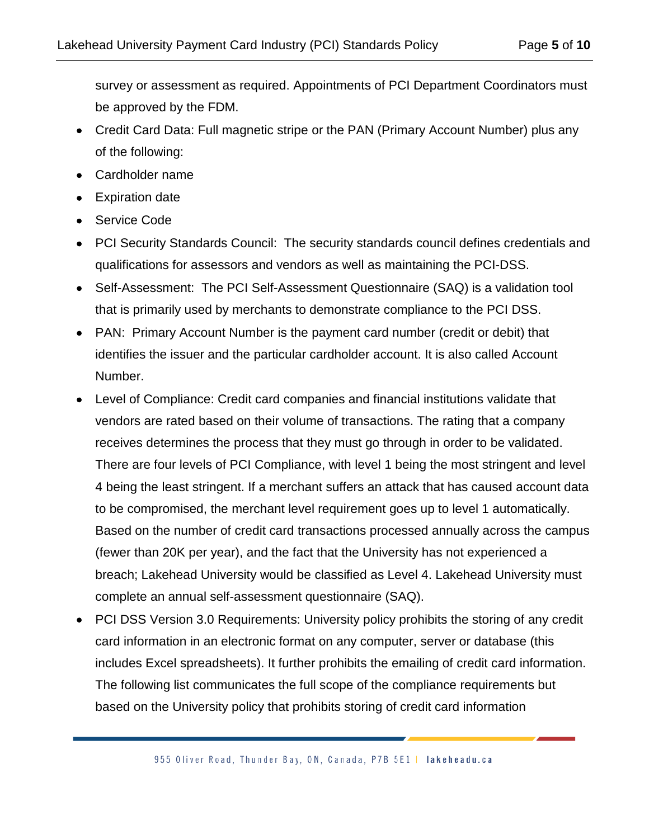survey or assessment as required. Appointments of PCI Department Coordinators must be approved by the FDM.

- Credit Card Data: Full magnetic stripe or the PAN (Primary Account Number) plus any of the following:
- Cardholder name
- Expiration date
- Service Code
- PCI Security Standards Council: The security standards council defines credentials and qualifications for assessors and vendors as well as maintaining the PCI-DSS.
- Self-Assessment: The PCI Self-Assessment Questionnaire (SAQ) is a validation tool that is primarily used by merchants to demonstrate compliance to the PCI DSS.
- PAN: Primary Account Number is the payment card number (credit or debit) that identifies the issuer and the particular cardholder account. It is also called Account Number.
- Level of Compliance: Credit card companies and financial institutions validate that vendors are rated based on their volume of transactions. The rating that a company receives determines the process that they must go through in order to be validated. There are four levels of PCI Compliance, with level 1 being the most stringent and level 4 being the least stringent. If a merchant suffers an attack that has caused account data to be compromised, the merchant level requirement goes up to level 1 automatically. Based on the number of credit card transactions processed annually across the campus (fewer than 20K per year), and the fact that the University has not experienced a breach; Lakehead University would be classified as Level 4. Lakehead University must complete an annual self-assessment questionnaire (SAQ).
- PCI DSS Version 3.0 Requirements: University policy prohibits the storing of any credit card information in an electronic format on any computer, server or database (this includes Excel spreadsheets). It further prohibits the emailing of credit card information. The following list communicates the full scope of the compliance requirements but based on the University policy that prohibits storing of credit card information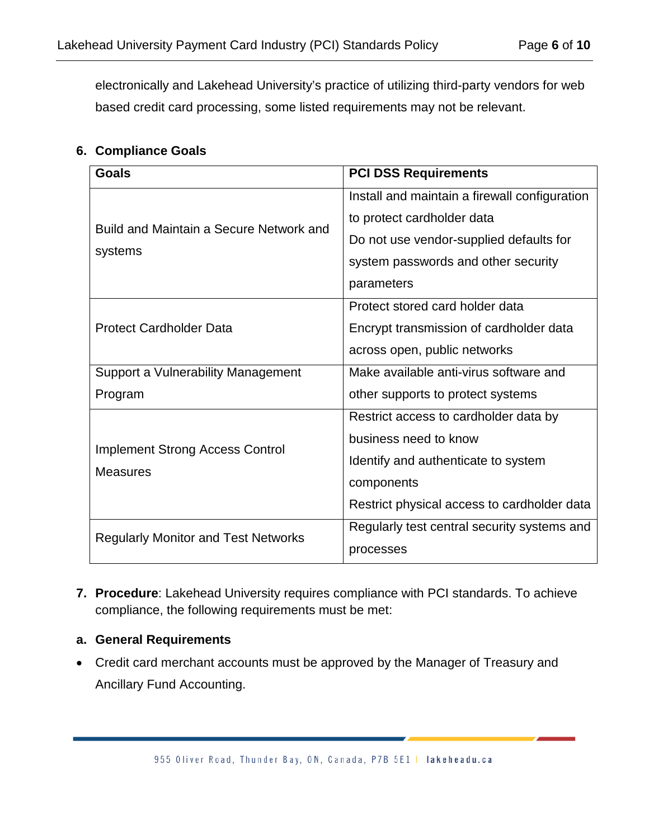electronically and Lakehead University's practice of utilizing third-party vendors for web based credit card processing, some listed requirements may not be relevant.

## **6. Compliance Goals**

| Goals                                                     | <b>PCI DSS Requirements</b>                   |
|-----------------------------------------------------------|-----------------------------------------------|
| Build and Maintain a Secure Network and<br>systems        | Install and maintain a firewall configuration |
|                                                           | to protect cardholder data                    |
|                                                           | Do not use vendor-supplied defaults for       |
|                                                           | system passwords and other security           |
|                                                           | parameters                                    |
| <b>Protect Cardholder Data</b>                            | Protect stored card holder data               |
|                                                           | Encrypt transmission of cardholder data       |
|                                                           | across open, public networks                  |
| Support a Vulnerability Management                        | Make available anti-virus software and        |
| Program                                                   | other supports to protect systems             |
| <b>Implement Strong Access Control</b><br><b>Measures</b> | Restrict access to cardholder data by         |
|                                                           | business need to know                         |
|                                                           | Identify and authenticate to system           |
|                                                           | components                                    |
|                                                           | Restrict physical access to cardholder data   |
| <b>Regularly Monitor and Test Networks</b>                | Regularly test central security systems and   |
|                                                           | processes                                     |

**7. Procedure**: Lakehead University requires compliance with PCI standards. To achieve compliance, the following requirements must be met:

## **a. General Requirements**

• Credit card merchant accounts must be approved by the Manager of Treasury and Ancillary Fund Accounting.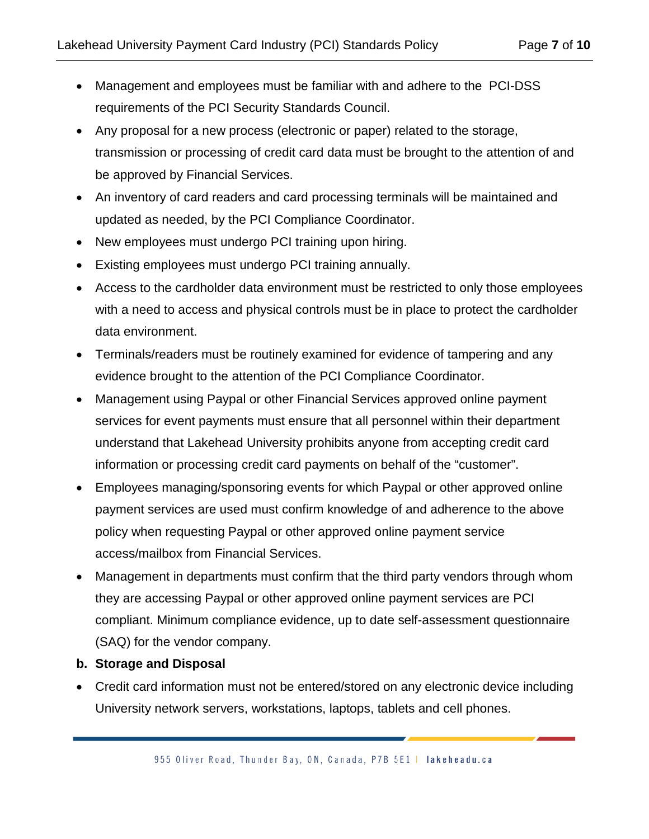- Management and employees must be familiar with and adhere to the PCI-DSS requirements of the PCI Security Standards Council.
- Any proposal for a new process (electronic or paper) related to the storage, transmission or processing of credit card data must be brought to the attention of and be approved by Financial Services.
- An inventory of card readers and card processing terminals will be maintained and updated as needed, by the PCI Compliance Coordinator.
- New employees must undergo PCI training upon hiring.
- Existing employees must undergo PCI training annually.
- Access to the cardholder data environment must be restricted to only those employees with a need to access and physical controls must be in place to protect the cardholder data environment.
- Terminals/readers must be routinely examined for evidence of tampering and any evidence brought to the attention of the PCI Compliance Coordinator.
- Management using Paypal or other Financial Services approved online payment services for event payments must ensure that all personnel within their department understand that Lakehead University prohibits anyone from accepting credit card information or processing credit card payments on behalf of the "customer".
- Employees managing/sponsoring events for which Paypal or other approved online payment services are used must confirm knowledge of and adherence to the above policy when requesting Paypal or other approved online payment service access/mailbox from Financial Services.
- Management in departments must confirm that the third party vendors through whom they are accessing Paypal or other approved online payment services are PCI compliant. Minimum compliance evidence, up to date self-assessment questionnaire (SAQ) for the vendor company.
- **b. Storage and Disposal**
- Credit card information must not be entered/stored on any electronic device including University network servers, workstations, laptops, tablets and cell phones.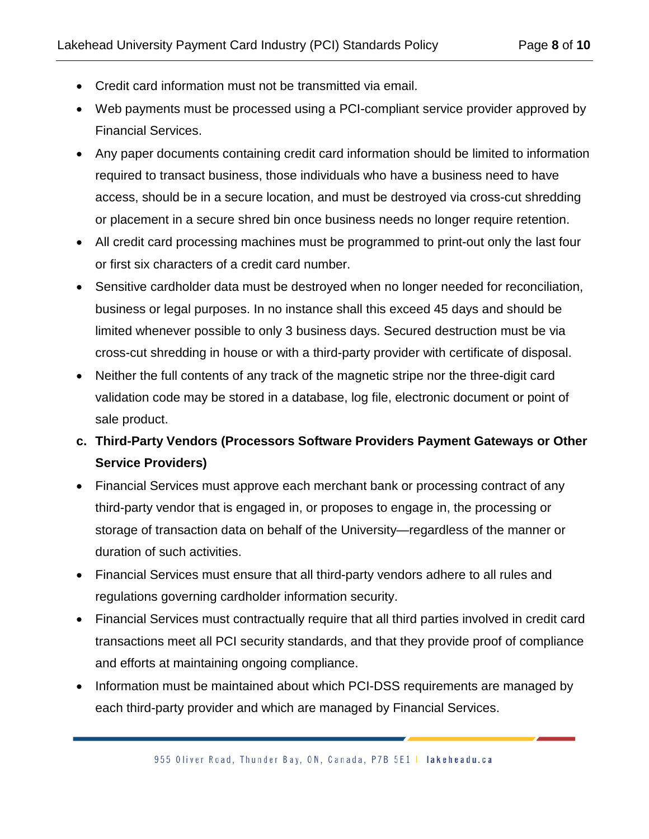- Credit card information must not be transmitted via email.
- Web payments must be processed using a PCI-compliant service provider approved by Financial Services.
- Any paper documents containing credit card information should be limited to information required to transact business, those individuals who have a business need to have access, should be in a secure location, and must be destroyed via cross-cut shredding or placement in a secure shred bin once business needs no longer require retention.
- All credit card processing machines must be programmed to print-out only the last four or first six characters of a credit card number.
- Sensitive cardholder data must be destroyed when no longer needed for reconciliation, business or legal purposes. In no instance shall this exceed 45 days and should be limited whenever possible to only 3 business days. Secured destruction must be via cross-cut shredding in house or with a third-party provider with certificate of disposal.
- Neither the full contents of any track of the magnetic stripe nor the three-digit card validation code may be stored in a database, log file, electronic document or point of sale product.

# **c. Third-Party Vendors (Processors Software Providers Payment Gateways or Other Service Providers)**

- Financial Services must approve each merchant bank or processing contract of any third-party vendor that is engaged in, or proposes to engage in, the processing or storage of transaction data on behalf of the University—regardless of the manner or duration of such activities.
- Financial Services must ensure that all third-party vendors adhere to all rules and regulations governing cardholder information security.
- Financial Services must contractually require that all third parties involved in credit card transactions meet all PCI security standards, and that they provide proof of compliance and efforts at maintaining ongoing compliance.
- Information must be maintained about which PCI-DSS requirements are managed by each third-party provider and which are managed by Financial Services.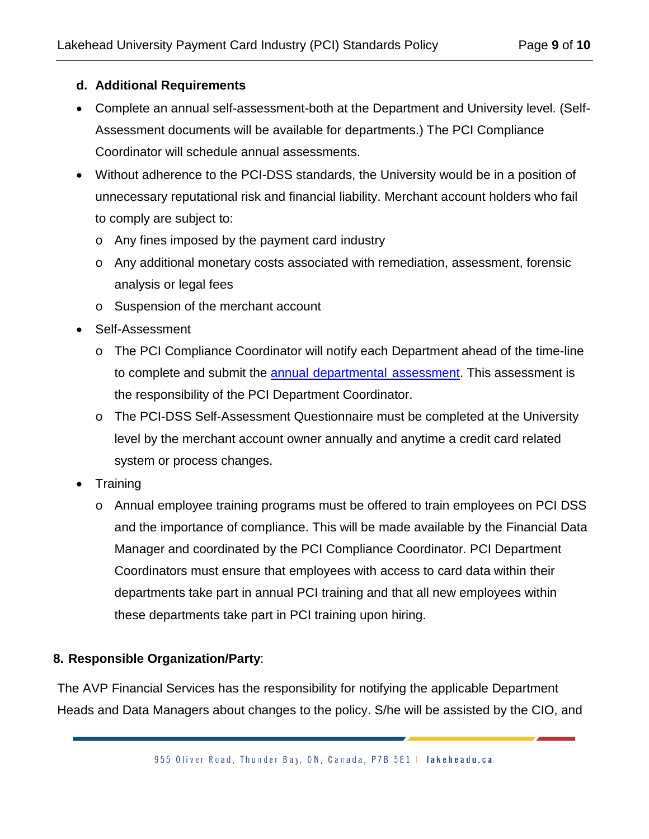## **d. Additional Requirements**

- Complete an annual self-assessment-both at the Department and University level. (Self-Assessment documents will be available for departments.) The PCI Compliance Coordinator will schedule annual assessments.
- Without adherence to the PCI-DSS standards, the University would be in a position of unnecessary reputational risk and financial liability. Merchant account holders who fail to comply are subject to:
	- o Any fines imposed by the payment card industry
	- o Any additional monetary costs associated with remediation, assessment, forensic analysis or legal fees
	- o Suspension of the merchant account
- Self-Assessment
	- o The PCI Compliance Coordinator will notify each Department ahead of the time-line to complete and submit the annual [departmental](https://www.pcisecuritystandards.org/saq/instructions_dss.shtml#navigating) assessment. This assessment is the responsibility of the PCI Department Coordinator.
	- o The PCI-DSS Self-Assessment Questionnaire must be completed at the University level by the merchant account owner annually and anytime a credit card related system or process changes.
- Training
	- o Annual employee training programs must be offered to train employees on PCI DSS and the importance of compliance. This will be made available by the Financial Data Manager and coordinated by the PCI Compliance Coordinator. PCI Department Coordinators must ensure that employees with access to card data within their departments take part in annual PCI training and that all new employees within these departments take part in PCI training upon hiring.

# **8. Responsible Organization/Party**:

The AVP Financial Services has the responsibility for notifying the applicable Department Heads and Data Managers about changes to the policy. S/he will be assisted by the CIO, and